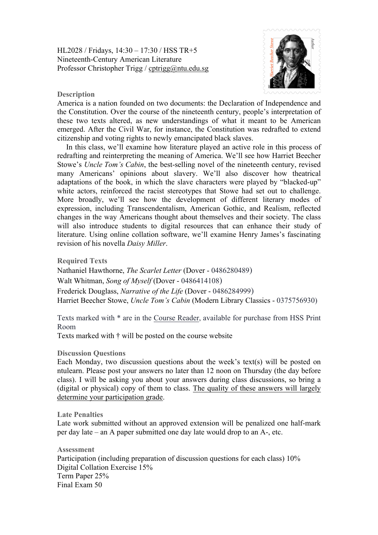HL2028 / Fridays, 14:30 – 17:30 / HSS TR+5 Nineteenth-Century American Literature Professor Christopher Trigg / cptrigg@ntu.edu.sg



## **Description**

America is a nation founded on two documents: the Declaration of Independence and the Constitution. Over the course of the nineteenth century, people's interpretation of these two texts altered, as new understandings of what it meant to be American emerged. After the Civil War, for instance, the Constitution was redrafted to extend citizenship and voting rights to newly emancipated black slaves.

In this class, we'll examine how literature played an active role in this process of redrafting and reinterpreting the meaning of America. We'll see how Harriet Beecher Stowe's *Uncle Tom's Cabin*, the best-selling novel of the nineteenth century, revised many Americans' opinions about slavery. We'll also discover how theatrical adaptations of the book, in which the slave characters were played by "blacked-up" white actors, reinforced the racist stereotypes that Stowe had set out to challenge. More broadly, we'll see how the development of different literary modes of expression, including Transcendentalism, American Gothic, and Realism, reflected changes in the way Americans thought about themselves and their society. The class will also introduce students to digital resources that can enhance their study of literature. Using online collation software, we'll examine Henry James's fascinating revision of his novella *Daisy Miller*.

**Required Texts**

Nathaniel Hawthorne, *The Scarlet Letter* (Dover - 0486280489) Walt Whitman, *Song of Myself* (Dover - 0486414108) Frederick Douglass, *Narrative of the Life* (Dover - 0486284999) Harriet Beecher Stowe, *Uncle Tom's Cabin* (Modern Library Classics - 0375756930)

Texts marked with \* are in the Course Reader, available for purchase from HSS Print Room

Texts marked with † will be posted on the course website

## **Discussion Questions**

Each Monday, two discussion questions about the week's text(s) will be posted on ntulearn. Please post your answers no later than 12 noon on Thursday (the day before class). I will be asking you about your answers during class discussions, so bring a (digital or physical) copy of them to class. The quality of these answers will largely determine your participation grade.

**Late Penalties**

Late work submitted without an approved extension will be penalized one half-mark per day late – an A paper submitted one day late would drop to an A-, etc.

**Assessment** Participation (including preparation of discussion questions for each class) 10% Digital Collation Exercise 15% Term Paper 25% Final Exam 50